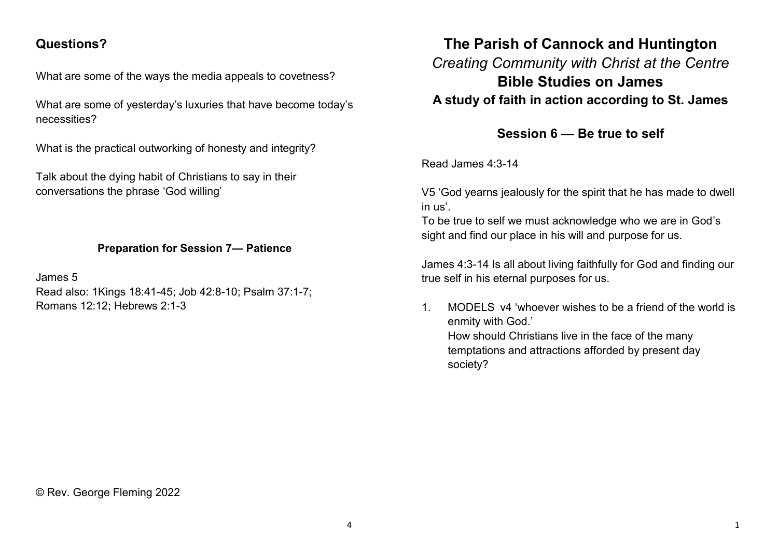## **Questions?**

What are some of the ways the media appeals to covetness?

What are some of yesterday's luxuries that have become today's necessities?

What is the practical outworking of honesty and integrity?

Talk about the dying habit of Christians to say in their conversations the phrase 'God willing'

## **Preparation for Session 7— Patience**

James 5 Read also: 1Kings 18:41-45; Job 42:8-10; Psalm 37:1-7; Romans 12:12; Hebrews 2:1-3

## **The Parish of Cannock and Huntington** *Creating Community with Christ at the Centre* **Bible Studies on James A study of faith in action according to St. James**

**Session 6 — Be true to self**

Read James 4:3-14

V5 'God yearns jealously for the spirit that he has made to dwell in us'.

To be true to self we must acknowledge who we are in God's sight and find our place in his will and purpose for us.

James 4:3-14 Is all about living faithfully for God and finding our true self in his eternal purposes for us.

1. MODELS v4 'whoever wishes to be a friend of the world is enmity with God.' How should Christians live in the face of the many temptations and attractions afforded by present day society?